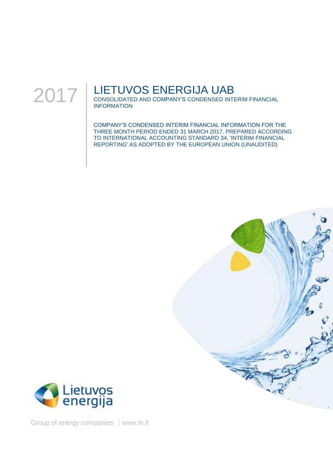

# LIETUVOS ENERGIJA UAB

CONSOLIDATED AND COMPANY'S CONDENSED INTERIM FINANCIAL INFORMATION

COMPANY'S CONDENSED INTERIM FINANCIAL INFORMATION FOR THE THREE MONTH PERIOD ENDED 31 MARCH 2017, PREPARED ACCORDING TO INTERNATIONAL ACCOUNTING STANDARD 34, 'INTERIM FINANCIAL REPORTING' AS ADOPTED BY THE EUROPEAN UNION (UNAUDITED)





Group of energy companies | www.le.lt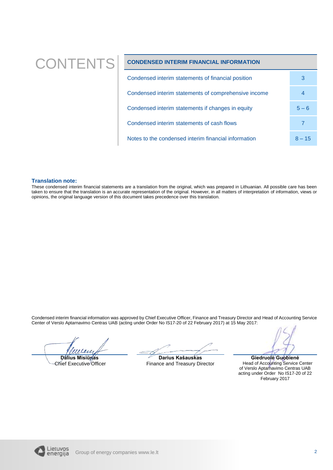# CONTENTS **CONDENSED INTERIM FINANCIAL INFORMATION**

| Condensed interim statements of financial position   | 3        |
|------------------------------------------------------|----------|
| Condensed interim statements of comprehensive income |          |
| Condensed interim statements if changes in equity    | $5 - 6$  |
| Condensed interim statements of cash flows           |          |
| Notes to the condensed interim financial information | $8 - 15$ |

#### **Translation note:**

These condensed interim financial statements are a translation from the original, which was prepared in Lithuanian. All possible care has been taken to ensure that the translation is an accurate representation of the original. However, in all matters of interpretation of information, views or opinions, the original language version of this document takes precedence over this translation.

Condensed interim financial information was approved by Chief Executive Officer, Finance and Treasury Director and Head of Accounting Service Center of Verslo Aptarnavimo Centras UAB (acting under Order No IS17-20 of 22 February 2017) at 15 May 2017:

**Dalius Misiūnas**

Chief Executive Officer

**Darius Kašauskas** Finance and Treasury Director

**Giedruolė Guobienė** Head of Accounting Service Center of Verslo Aptarnavimo Centras UAB acting under Order No IS17-20 of 22 February 2017

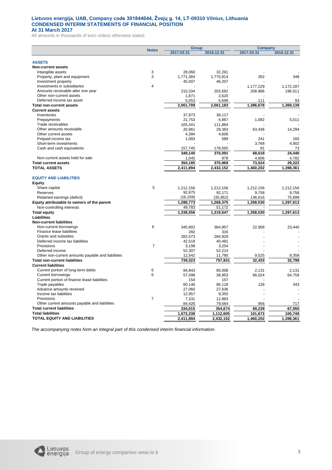#### **Lietuvos energija, UAB, Company code 301844044, Žvejų g. 14, LT-09310 Vilnius, Lithuania CONDENSED INTERIM STATEMENTS OF FINANCIAL POSITION At 31 March 2017**

All amounts in thousands of euro unless otherwise stated

|                                                   | <b>Notes</b>   | <b>Group</b> |                     | <b>Company</b>   |                 |  |
|---------------------------------------------------|----------------|--------------|---------------------|------------------|-----------------|--|
|                                                   |                | 2017.03.31   | 2016.12.31          | 2017.03.31       | 2016.12.31      |  |
|                                                   |                |              |                     |                  |                 |  |
| <b>ASSETS</b><br>Non-current assets               |                |              |                     |                  |                 |  |
| Intangible assets                                 | 3              | 28,060       | 32,261              |                  |                 |  |
| Property, plant and equipment                     | 3              | 1,771,384    | 1.770.814           | 352              | 348             |  |
| Investment property                               |                | 45,007       | 46,207              |                  |                 |  |
| Investments in subsidiaries                       | $\overline{4}$ |              |                     | 1,177,229        | 1,172,187       |  |
| Amounts receivable after one year                 |                | 210,334      | 203,582             | 208,986          | 196,511         |  |
| Other non-current assets                          |                | 1,871        | 2,620               |                  |                 |  |
| Deferred income tax asset                         |                | 5,053        | 5,699               | 111              | 93              |  |
| <b>Total non-current assets</b>                   |                | 2,061,709    | 2,061,183           | 1,386,678        | 1,369,139       |  |
| <b>Current assets</b>                             |                |              |                     |                  |                 |  |
| Inventories                                       |                | 37.873       | 38,117              |                  |                 |  |
| Prepayments                                       |                | 21,753       | 6,967               | 1,082            | 5,011           |  |
| Trade receivables                                 |                | 105,341      | 111,884             |                  |                 |  |
| Other amounts receivable                          |                | 20,961       | 29,363              | 63,436           | 14,294          |  |
| Other current assets                              |                | 4,384        | 4.606               |                  |                 |  |
| Prepaid income tax                                |                | 1,083        | 589                 | 241              | 160             |  |
| Short-term investments                            |                |              |                     | 3,768            | 4,902           |  |
| Cash and cash equivalents                         |                | 157,745      | 178,565             | 91               | 73              |  |
|                                                   |                | 349.140      | 370,091             | 68,618           | 24.440          |  |
| Non-current assets held for sale                  |                | 1,045        | 878                 | 4,906            | 4,782           |  |
| <b>Total current assets</b>                       |                | 350,185      | 370,969             | 73,524           | 29,222          |  |
| <b>TOTAL ASSETS</b>                               |                | 2,411,894    | 2,432,152           | 1,460,202        | 1,398,361       |  |
|                                                   |                |              |                     |                  |                 |  |
| <b>EQUITY AND LIABILITIES</b>                     |                |              |                     |                  |                 |  |
| Equity                                            |                |              |                     |                  |                 |  |
| Share capital                                     | 5              | 1,212,156    |                     | 1,212,156        | 1,212,156       |  |
| Reserves                                          |                | 92,875       | 1,212,156           |                  |                 |  |
| Retained earnings (deficit)                       |                | (16, 258)    | 92,171<br>(35, 952) | 9,758<br>136,616 | 9,758<br>75,699 |  |
|                                                   |                |              |                     |                  |                 |  |
| Equity attributable to owners of the parent       |                | 1,288,773    | 1,268,375           | 1,358,530        | 1,297,613       |  |
| Non-controlling interests                         |                | 49,783       | 51,172              |                  |                 |  |
| <b>Total equity</b>                               |                | 1,338,556    | 1.319.547           | 1,358,530        | 1,297,613       |  |
| Liabilities                                       |                |              |                     |                  |                 |  |
| <b>Non-current liabilities</b>                    |                |              |                     |                  |                 |  |
| Non-current borrowings                            | 6              | 345,902      | 364.957             | 22,908           | 23,440          |  |
| Finance lease liabilities                         |                | 282          | 316                 |                  |                 |  |
| Grants and subsidies                              |                | 282,573      | 284,929             |                  |                 |  |
| Deferred income tax liabilities                   |                | 42,518       | 40,481              |                  |                 |  |
| Provisions                                        | $\overline{7}$ | 3,199        | 3,254               |                  |                 |  |
| Deferred income                                   |                | 52,307       | 52,214              |                  |                 |  |
| Other non-current amounts payable and liabilities |                | 12,542       | 11,780              | 9,525            | 9,358           |  |
| <b>Total non-current liabilities</b>              |                | 739,323      | 757,931             | 32,433           | 32,798          |  |
| <b>Current liabilities</b>                        |                |              |                     |                  |                 |  |
| Current portion of long-term debts                | 6              | 84.843       | 90.008              | 2.131            | 2.131           |  |
| <b>Current borrowings</b>                         | 6              | 57,098       | 38,953              | 66,024           | 64,759          |  |
| Current portion of finance lease liabilities      |                | 154          | 157                 |                  |                 |  |
| Trade payables                                    |                | 60,146       | 96,118              | 128              | 343             |  |
| Advance amounts received                          |                | 27,060       | 27,636              |                  |                 |  |
| Income tax liabilities                            |                | 12,957       | 9,355               |                  |                 |  |
| Provisions                                        | $\overline{7}$ | 7,331        | 12,883              |                  |                 |  |
| Other current amounts payable and liabilities     |                | 84,426       | 79,564              | 956              | 717             |  |
| <b>Total current liabilities</b>                  |                | 334,015      | 354,674             | 69,239           | 67,950          |  |
| <b>Total liabilities</b>                          |                | 1,073,338    | 1,112,605           | 101,672          | 100,748         |  |
| <b>TOTAL EQUITY AND LIABILITIES</b>               |                | 2,411,894    | 2,432,152           | 1,460,202        | 1,398,361       |  |

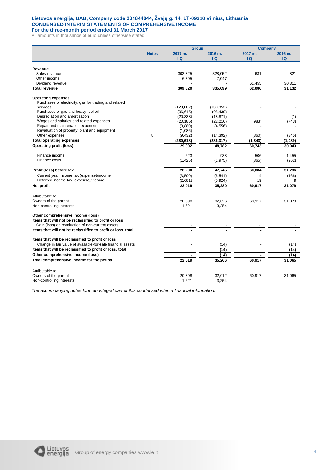## **Lietuvos energija, UAB, Company code 301844044, Žvejų g. 14, LT-09310 Vilnius, Lithuania CONDENSED INTERIM STATEMENTS OF COMPREHENSIVE INCOME**

**For the three-month period ended 31 March 2017** All amounts in thousands of euro unless otherwise stated

|                                                              |              | <b>Group</b>   |            | <b>Company</b> |         |
|--------------------------------------------------------------|--------------|----------------|------------|----------------|---------|
|                                                              | <b>Notes</b> | 2017 m.        | 2016 m.    | 2017 m.        | 2016 m. |
|                                                              |              | $\overline{a}$ | IQ.        | $\overline{a}$ | IQ      |
|                                                              |              |                |            |                |         |
| Revenue                                                      |              |                |            |                |         |
| Sales revenue                                                |              | 302,825        | 328,052    | 631            | 821     |
| Other income                                                 |              | 6,795          | 7,047      |                |         |
| Dividend revenue                                             |              |                |            | 61,455         | 30,311  |
| <b>Total revenue</b>                                         |              | 309,620        | 335,099    | 62,086         | 31,132  |
| <b>Operating expenses</b>                                    |              |                |            |                |         |
| Purchases of electricity, gas for trading and related        |              |                |            |                |         |
| services                                                     |              | (129, 082)     | (130, 852) |                |         |
| Purchases of gas and heavy fuel oil                          |              | (96, 615)      | (95, 430)  |                |         |
| Depreciation and amortisation                                |              | (20, 338)      | (18, 871)  |                | (1)     |
| Wages and salaries and related expenses                      |              | (20, 185)      | (22, 216)  | (983)          | (743)   |
| Repair and maintenance expenses                              |              | (3,880)        | (4, 556)   |                |         |
| Revaluation of property, plant and equipment                 |              | (1,086)        |            |                |         |
| Other expenses                                               | 8            | (9, 432)       | (14, 392)  | (360)          | (345)   |
| <b>Total operating expenses</b>                              |              | (280, 618)     | (286,317)  | (1, 343)       | (1,089) |
| <b>Operating profit (loss)</b>                               |              | 29,002         | 48,782     | 60,743         | 30,043  |
|                                                              |              |                |            |                |         |
| Finance income                                               |              | 623            | 938        | 506            | 1,455   |
| Finance costs                                                |              | (1, 425)       | (1, 975)   | (365)          | (262)   |
|                                                              |              |                |            |                |         |
| Profit (loss) before tax                                     |              | 28,200         | 47,745     | 60,884         | 31,236  |
| Current year income tax (expense)/income                     |              | (3,500)        | (6, 541)   | 14             | (166)   |
| Deferred income tax (expense)/income                         |              | (2,681)        | (5,924)    | 19             | 9       |
| Net profit                                                   |              | 22,019         | 35,280     | 60,917         | 31,079  |
|                                                              |              |                |            |                |         |
| Attributable to:                                             |              |                |            |                |         |
| Owners of the parent                                         |              | 20,398         | 32,026     | 60,917         | 31,079  |
| Non-controlling interests                                    |              | 1,621          | 3,254      |                |         |
|                                                              |              |                |            |                |         |
| Other comprehensive income (loss)                            |              |                |            |                |         |
| Items that will not be reclassified to profit or loss        |              |                |            |                |         |
| Gain (loss) on revaluation of non-current assets             |              |                |            |                |         |
| Items that will not be reclassified to profit or loss, total |              |                |            |                |         |
| Items that will be reclassified to profit or loss            |              |                |            |                |         |
| Change in fair value of available-for-sale financial assets  |              |                |            |                |         |
|                                                              |              |                | (14)       |                | (14)    |
| Items that will be reclassified to profit or loss, total     |              |                | (14)       |                | (14)    |
| Other comprehensive income (loss)                            |              |                | (14)       |                | (14)    |
| Total comprehensive income for the period                    |              | 22,019         | 35,266     | 60,917         | 31,065  |
|                                                              |              |                |            |                |         |
| Attributable to:                                             |              |                |            |                |         |
| Owners of the parent                                         |              | 20,398         | 32,012     | 60,917         | 31,065  |
| Non-controlling interests                                    |              | 1,621          | 3,254      |                |         |

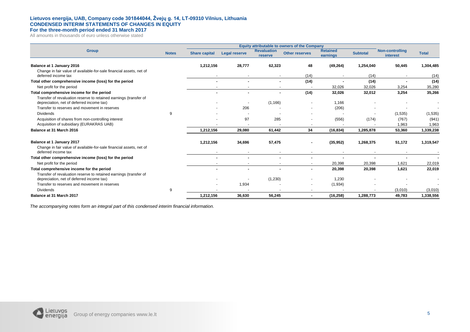#### **Lietuvos energija, UAB, Company code 301844044, Žvejų g. 14, LT-09310 Vilnius, Lithuania CONDENSED INTERIM STATEMENTS OF CHANGES IN EQUITY**

**For the three-month period ended 31 March 2017**

All amounts in thousands of euro unless otherwise stated

|                                                                                                                |              | Equity attributable to owners of the Company |                      |                               |                       |                             |                 |                                    |                |
|----------------------------------------------------------------------------------------------------------------|--------------|----------------------------------------------|----------------------|-------------------------------|-----------------------|-----------------------------|-----------------|------------------------------------|----------------|
| <b>Group</b>                                                                                                   | <b>Notes</b> | <b>Share capital</b>                         | <b>Legal reserve</b> | <b>Revaluation</b><br>reserve | <b>Other reserves</b> | <b>Retained</b><br>earnings | <b>Subtotal</b> | <b>Non-controlling</b><br>interest | <b>Total</b>   |
| Balance at 1 January 2016                                                                                      |              | 1,212,156                                    | 28,777               | 62,323                        | 48                    | (49, 264)                   | 1,254,040       | 50,445                             | 1,304,485      |
| Change in fair value of available-for-sale financial assets, net of<br>deferred income tax                     |              |                                              |                      |                               | (14)                  |                             | (14)            |                                    | (14)           |
| Total other comprehensive income (loss) for the period                                                         |              |                                              |                      | $\blacksquare$                | (14)                  |                             | (14)            | $\overline{\phantom{a}}$           | (14)           |
| Net profit for the period                                                                                      |              |                                              |                      |                               |                       | 32,026                      | 32,026          | 3,254                              | 35,280         |
| Total comprehensive income for the period                                                                      |              |                                              |                      | ٠                             | (14)                  | 32,026                      | 32,012          | 3,254                              | 35,266         |
| Transfer of revaluation reserve to retained earnings (transfer of<br>depreciation, net of deferred income tax) |              |                                              |                      | (1, 166)                      |                       | 1,166                       |                 |                                    |                |
| Transfer to reserves and movement in reserves                                                                  |              |                                              | 206                  |                               |                       | (206)                       |                 |                                    |                |
| <b>Dividends</b>                                                                                               | 9            |                                              |                      |                               |                       |                             |                 | (1,535)                            | (1,535)        |
| Acquisition of shares from non-controlling interest<br>Acquisition of subsidiary (EURAKRAS UAB)                |              |                                              | 97                   | 285                           |                       | (556)                       | (174)           | (767)<br>1,963                     | (941)<br>1,963 |
| Balance at 31 March 2016                                                                                       |              | 1,212,156                                    | 29,080               | 61,442                        | 34                    | (16, 834)                   | 1,285,878       | 53,360                             | 1,339,238      |
| Balance at 1 January 2017                                                                                      |              | 1,212,156                                    | 34,696               | 57,475                        |                       | (35, 952)                   | 1,268,375       | 51,172                             | 1,319,547      |
| Change in fair value of available-for-sale financial assets, net of<br>deferred income tax                     |              |                                              |                      |                               |                       |                             |                 |                                    |                |
| Total other comprehensive income (loss) for the period                                                         |              |                                              |                      |                               |                       |                             |                 |                                    |                |
| Net profit for the period                                                                                      |              |                                              |                      |                               |                       | 20,398                      | 20,398          | 1,621                              | 22,019         |
| Total comprehensive income for the period<br>Transfer of revaluation reserve to retained earnings (transfer of |              |                                              |                      |                               |                       | 20,398                      | 20,398          | 1,621                              | 22,019         |
| depreciation, net of deferred income tax)                                                                      |              |                                              |                      | (1,230)                       |                       | 1,230                       |                 |                                    |                |
| Transfer to reserves and movement in reserves                                                                  |              |                                              | 1,934                |                               |                       | (1,934)                     |                 |                                    |                |
| <b>Dividends</b>                                                                                               | 9            |                                              |                      |                               | $\sim$                |                             |                 | (3,010)                            | (3,010)        |
| Balance at 31 March 2017                                                                                       |              | 1,212,156                                    | 36,630               | 56,245                        |                       | (16, 258)                   | 1,288,773       | 49,783                             | 1,338,556      |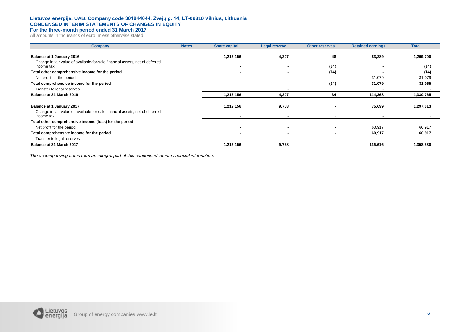#### **Lietuvos energija, UAB, Company code 301844044, Žvejų g. 14, LT-09310 Vilnius, Lithuania CONDENSED INTERIM STATEMENTS OF CHANGES IN EQUITY**

### **For the three-month period ended 31 March 2017**

All amounts in thousands of euro unless otherwise stated

| Company                                                                                                   | <b>Notes</b> | <b>Share capital</b> | <b>Legal reserve</b> | <b>Other reserves</b> | <b>Retained earnings</b> | <b>Total</b> |
|-----------------------------------------------------------------------------------------------------------|--------------|----------------------|----------------------|-----------------------|--------------------------|--------------|
| Balance at 1 January 2016<br>Change in fair value of available-for-sale financial assets, net of deferred |              | 1,212,156            | 4,207                | 48                    | 83,289                   | 1,299,700    |
| income tax                                                                                                |              |                      |                      | (14)                  |                          | (14)         |
| Total other comprehensive income for the period                                                           |              |                      |                      | (14)                  |                          | (14)         |
| Net profit for the period                                                                                 |              |                      |                      |                       | 31,079                   | 31,079       |
| Total comprehensive income for the period                                                                 |              |                      |                      | (14)                  | 31,079                   | 31,065       |
| Transfer to legal reserves                                                                                |              |                      |                      |                       |                          |              |
| Balance at 31 March 2016                                                                                  |              | 1,212,156            | 4,207                | 34                    | 114,368                  | 1,330,765    |
| Balance at 1 January 2017                                                                                 |              | 1,212,156            | 9,758                |                       | 75,699                   | 1,297,613    |
| Change in fair value of available-for-sale financial assets, net of deferred<br>income tax                |              |                      |                      |                       |                          |              |
| Total other comprehensive income (loss) for the period                                                    |              |                      |                      |                       |                          |              |
| Net profit for the period                                                                                 |              |                      |                      |                       | 60,917                   | 60,917       |
| Total comprehensive income for the period                                                                 |              |                      |                      |                       | 60,917                   | 60,917       |
| Transfer to legal reserves                                                                                |              |                      |                      |                       |                          |              |
| Balance at 31 March 2017                                                                                  |              | 1,212,156            | 9,758                |                       | 136,616                  | 1,358,530    |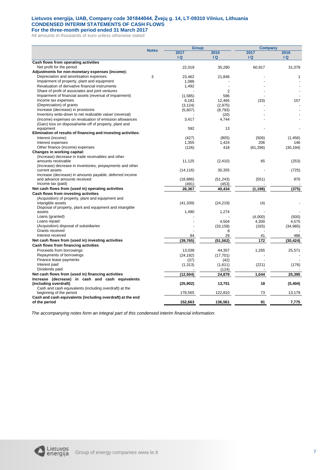### **Lietuvos energija, UAB, Company code 301844044, Žvejų g. 14, LT-09310 Vilnius, Lithuania CONDENSED INTERIM STATEMENTS OF CASH FLOWS**

**For the three-month period ended 31 March 2017** All amounts in thousands of euro unless otherwise stated

|                                                                         |              | <b>Group</b> |                 | <b>Company</b> |           |  |
|-------------------------------------------------------------------------|--------------|--------------|-----------------|----------------|-----------|--|
|                                                                         | <b>Notes</b> | 2017         | 2016            | 2017           | 2016      |  |
|                                                                         |              | Q            | Q               | $\overline{a}$ | Q         |  |
| Cash flows from operating activities                                    |              |              |                 |                |           |  |
| Net profit for the period                                               |              | 22,019       | 35,280          | 60,917         | 31,079    |  |
| Adjustments for non-monetary expenses (income):                         |              |              |                 |                |           |  |
| Depreciation and amortisation expenses                                  | 3            | 23,462       | 21,846          |                | 1         |  |
| Impairment of property, plant and equipment                             |              | 1,086        |                 |                |           |  |
| Revaluation of derivative financial instruments                         |              | 1,492        |                 |                |           |  |
| Share of profit of associates and joint ventures                        |              |              | $\overline{2}$  |                |           |  |
| Impairment of financial assets (reversal of impairment)                 |              | (1,585)      | 586             |                |           |  |
| Income tax expenses                                                     |              | 6,181        | 12.465          | (33)           | 157       |  |
| (Depreciation) of grants                                                |              | (3, 124)     | (2,975)         |                |           |  |
| Increase (decrease) in provisions                                       |              | (5,607)      | (8,793)         |                |           |  |
| Inventory write-down to net realizable value/ (reversal)                |              |              | (20)            |                |           |  |
| (Income) expenses on revaluation of emission allowances                 |              | 3,417        | 4,744           |                |           |  |
| (Gain) loss on disposal/write-off of property, plant and                |              |              |                 |                |           |  |
| equipment                                                               |              | 592          | 13              |                |           |  |
| Elimination of results of financing and investing activities:           |              |              |                 |                |           |  |
| Interest (income)                                                       |              | (427)        | (805)           | (506)          | (1, 456)  |  |
| Interest expenses                                                       |              | 1,355        | 1,424           | 206            | 146       |  |
| Other finance (income) expenses                                         |              | (126)        | 418             | (61, 296)      | (30, 194) |  |
| Changes in working capital:                                             |              |              |                 |                |           |  |
| (Increase) decrease in trade receivables and other                      |              |              |                 |                |           |  |
| amounts receivable                                                      |              | 11,125       | (2, 410)        | 65             | (253)     |  |
| (Increase) decrease in inventories, prepayments and other               |              |              |                 |                |           |  |
| current assets                                                          |              | (14, 116)    | 30,355          |                | (725)     |  |
| Increase (decrease) in amounts payable, deferred income                 |              |              |                 |                | 870       |  |
| and advance amounts received                                            |              | (18, 886)    | (51, 243)       | (551)          |           |  |
| Income tax (paid)<br>Net cash flows from (used in) operating activities |              | (491)        | (453)<br>40.434 | (1, 198)       | (375)     |  |
|                                                                         |              | 26,367       |                 |                |           |  |
| Cash flows from investing activities                                    |              |              |                 |                |           |  |
| (Acquisition) of property, plant and equipment and<br>intangible assets |              | (41, 339)    |                 |                |           |  |
| Disposal of property, plant and equipment and intangible                |              |              | (24, 219)       | (4)            |           |  |
| assets                                                                  |              | 1,490        | 1,274           |                |           |  |
| Loans (granted)                                                         |              |              |                 | (4,000)        | (500)     |  |
| Loans repaid                                                            |              |              | 4,504           | 4,300          | 4,575     |  |
| (Acquisition) disposal of subsidiaries                                  |              |              | (33, 158)       | (165)          | (34, 985) |  |
| Grants received                                                         |              |              | 8               |                |           |  |
| Interest received                                                       |              | 84           | 29              | 41             | 486       |  |
| Net cash flows from (used in) investing activities                      |              | (39, 765)    | (51, 562)       | 172            | (30, 424) |  |
| Cash flows from financing activities                                    |              |              |                 |                |           |  |
| Proceeds from borrowings                                                |              | 13,038       | 44,357          | 1,265          | 25,571    |  |
| Repayments of borrowings                                                |              | (24, 192)    | (17, 701)       |                |           |  |
| Finance lease payments                                                  |              | (37)         | (42)            |                |           |  |
| Interest paid                                                           |              | (1, 313)     | (1,611)         | (221)          | (176)     |  |
| Dividends paid                                                          |              |              | (124)           |                |           |  |
| Net cash flows from (used in) financing activities                      |              | (12, 504)    | 24,879          | 1,044          | 25,395    |  |
| Increase (decrease) in cash and cash equivalents                        |              |              |                 |                |           |  |
| (including overdraft)                                                   |              | (25, 902)    | 13,751          | 18             | (5, 404)  |  |
| Cash and cash equivalents (including overdraft) at the                  |              |              |                 |                |           |  |
| beginning of the period                                                 |              | 178,565      | 122,810         | 73             | 13,179    |  |
| Cash and cash equivalents (including overdraft) at the end              |              |              |                 |                |           |  |
| of the period                                                           |              | 152,663      | 136,561         | 91             | 7,775     |  |

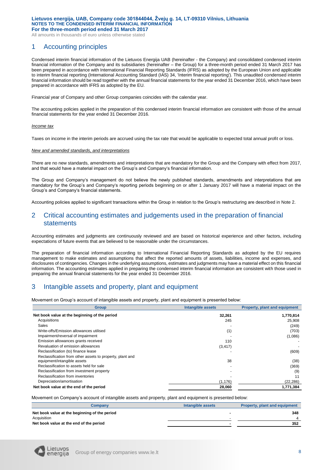All amounts in thousands of euro unless otherwise stated

# 1 Accounting principles

Condensed interim financial information of the Lietuvos Energija UAB (hereinafter - the Company) and consolidated condensed interim financial information of the Company and its subsidiaries (hereinafter – the Group) for a three-month period ended 31 March 2017 has been prepared in accordance with International Financial Reporting Standards (IFRS) as adopted by the European Union and applicable to interim financial reporting (International Accounting Standard (IAS) 34, 'Interim financial reporting'). This unaudited condensed interim financial information should be read together with the annual financial statements for the year ended 31 December 2016, which have been prepared in accordance with IFRS as adopted by the EU.

Financial year of Company and other Group companies coincides with the calendar year.

The accounting policies applied in the preparation of this condensed interim financial information are consistent with those of the annual financial statements for the year ended 31 December 2016.

#### *Income tax*

Taxes on income in the interim periods are accrued using the tax rate that would be applicable to expected total annual profit or loss.

#### *New and amended standards, and interpretations*

There are no new standards, amendments and interpretations that are mandatory for the Group and the Company with effect from 2017, and that would have a material impact on the Group's and Company's financial information.

The Group and Company's management do not believe the newly published standards, amendments and interpretations that are mandatory for the Group's and Company's reporting periods beginning on or after 1 January 2017 will have a material impact on the Group's and Company's financial statements.

Accounting policies applied to significant transactions within the Group in relation to the Group's restructuring are described in Note 2.

# 2 Critical accounting estimates and judgements used in the preparation of financial statements

Accounting estimates and judgments are continuously reviewed and are based on historical experience and other factors, including expectations of future events that are believed to be reasonable under the circumstances.

The preparation of financial information according to International Financial Reporting Standards as adopted by the EU requires management to make estimates and assumptions that affect the reported amounts of assets, liabilities, income and expenses, and disclosures of contingencies. Changes in the underlying assumptions, estimates and judgments may have a material effect on this financial information. The accounting estimates applied in preparing the condensed interim financial information are consistent with those used in preparing the annual financial statements for the year ended 31 December 2016.

# 3 Intangible assets and property, plant and equipment

Movement on Group's account of intangible assets and property, plant and equipment is presented below:

| <b>Group</b>                                              | <b>Intangible assets</b> | <b>Property, plant and equipment</b> |
|-----------------------------------------------------------|--------------------------|--------------------------------------|
| Net book value at the beginning of the period             | 32,261                   | 1,770,814                            |
| Acquisitions                                              | 245                      | 25.908                               |
| Sales                                                     |                          | (249)                                |
| Write-offs/Emission allowances utilised                   | (1)                      | (703)                                |
| Impairment/reversal of impairment                         |                          | (1,086)                              |
| Emission allowances grants received                       | 110                      |                                      |
| Revaluation of emission allowances                        | (3, 417)                 |                                      |
| Reclassification (to) finance lease                       |                          | (609)                                |
| Reclassification from other assets to property, plant and |                          |                                      |
| equipment/intangible assets                               | 38                       | (38)                                 |
| Reclassification to assets held for sale                  |                          | (369)                                |
| Reclassification from investment property                 |                          | (9)                                  |
| Reclassification from inventories                         |                          | 11                                   |
| Depreciation/amortisation                                 | (1, 176)                 | (22, 286)                            |
| Net book value at the end of the period                   | 28,060                   | 1.771.384                            |

Movement on Company's account of intangible assets and property, plant and equipment is presented below:

| Companv                                       | Intangible assets | <b>Property, plant and equipment</b> |
|-----------------------------------------------|-------------------|--------------------------------------|
| Net book value at the beginning of the period |                   | 348                                  |
| Acquisition                                   |                   |                                      |
| Net book value at the end of the period       |                   | 352                                  |

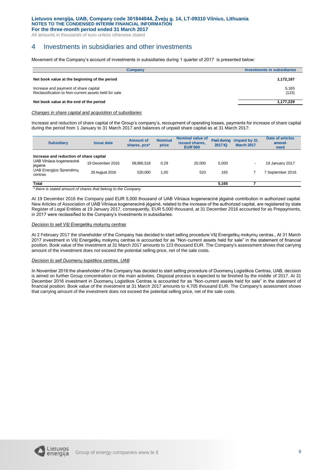#### **Lietuvos energija, UAB, Company code 301844044, Žvejų g. 14, LT-09310 Vilnius, Lithuania NOTES TO THE CONDENSED INTERIM FINANCIAL INFORMATION**

**For the three-month period ended 31 March 2017**

All amounts in thousands of euro unless otherwise stated

# 4 Investments in subsidiaries and other investments

Movement of the Company's account of investments in subsidiaries during 1 quarter of 2017 is presented below:

| Investments in subsidiaries |
|-----------------------------|
| 1,172,187                   |
| 5,165<br>(123)              |
| 1,177,229                   |
|                             |

*Changes in share capital and acquisition of subsidiaries*

Increase and reduction of share capital of the Group's company's, recoupment of operating losses, payments for increase of share capital during the period from 1 January to 31 March 2017 and balances of unpaid share capital as at 31 March 2017:

| <b>Subsidiary</b>                                 | <b>Issue date</b>                                | <b>Amount of</b><br>shares, pcs* | <b>Nominal</b><br>price | <b>Nominal value of</b><br>issued shares.<br><b>EUR'000</b> | <b>Paid during</b><br>2017 IQ | Unpaid by 31<br><b>March 2017</b> | <b>Date of articles</b><br>amend-<br>ment |  |
|---------------------------------------------------|--------------------------------------------------|----------------------------------|-------------------------|-------------------------------------------------------------|-------------------------------|-----------------------------------|-------------------------------------------|--|
| Increase and reduction of share capital           |                                                  |                                  |                         |                                                             |                               |                                   |                                           |  |
| UAB Vilniaus kogeneracinė<br>jėgainė              | 19 December 2016                                 | 68,965,518                       | 0.29                    | 20,000                                                      | 5.000                         | $\blacksquare$                    | 19 January 2017                           |  |
| <b>UAB Energijos Sprendimu</b><br>centras         | 29 August 2016                                   | 520.000                          | 1.00                    | 520                                                         | 165                           |                                   | September 2016                            |  |
| <b>Total</b><br>$\overline{a}$ and $\overline{a}$ | $\sim$ $\sim$<br>$\cdot$ $\cdot$ $\cdot$ $\cdot$ |                                  |                         |                                                             | 5.165                         |                                   |                                           |  |

*\* there is stated amount of shares that belong to the Company*

At 19 December 2016 the Company paid EUR 5,000 thousand of UAB Vilniaus kogeneracinė jėgainė contribution in authorized capital. New Articles of Association of UAB Vilniaus kogeneracinė jėgainė, related to the increase of the authorized capital, are registered by state Register of Legal Entities at 19 January 2017, consequently, EUR 5,000 thousand, at 31 December 2016 accounted for as Prepayments, in 2017 were reclassified to the Company's Investments in subsidiaries.

#### *Decision to sell VšĮ Energetikų mokymų centras*

At 2 February 2017 the shareholder of the Company has decided to start selling procedure VšĮ Energetikų mokymų centras., At 31 March 2017 investment in VšĮ Energetikų mokymų centras is accounted for as "Non-current assets held for sale" in the statement of financial position. Book value of the investment at 31 March 2017 amounts to 123 thousand EUR. The Company's assessment shows that carrying amount of the investment does not exceed the potential selling price, net of the sale costs.

#### *Decision to sell Duomenų logistikos centras, UAB*

In November 2016 the shareholder of the Company has decided to start selling procedure of Duomenų Logistikos Centras, UAB, decision is aimed on further Group concentration on the main activities. Disposal process is expected to be finished by the middle of 2017. At 31 December 2016 investment in Duomenų Logistikos Centras is accounted for as "Non-current assets held for sale" in the statement of financial position. Book value of the investment at 31 March 2017 amounts to 4,705 thousand EUR. The Company's assessment shows that carrying amount of the investment does not exceed the potential selling price, net of the sale costs.

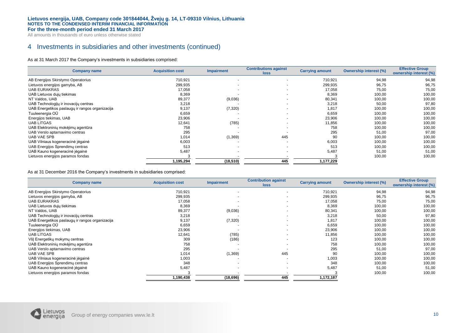All amounts in thousands of euro unless otherwise stated

# 4 Investments in subsidiaries and other investments (continued)

As at 31 March 2017 the Company's investments in subsidiaries comprised:

| <b>Company name</b>                             | <b>Acquisition cost</b> | <b>Impairment</b>        | <b>Contributions against</b><br><b>loss</b> | <b>Carrying amount</b> | <b>Ownership interest (%)</b> | <b>Effective Group</b><br>ownership interest (%) |
|-------------------------------------------------|-------------------------|--------------------------|---------------------------------------------|------------------------|-------------------------------|--------------------------------------------------|
| AB Energijos Skirstymo Operatorius              | 710,921                 | $\overline{\phantom{a}}$ | $\overline{a}$                              | 710,921                | 94,98                         | 94,98                                            |
| Lietuvos energijos gamyba, AB                   | 299,935                 | $\overline{\phantom{a}}$ | $\overline{\phantom{0}}$                    | 299,935                | 96,75                         | 96,75                                            |
| <b>UAB EURAKRAS</b>                             | 17,058                  | $\overline{\phantom{0}}$ | $\overline{a}$                              | 17,058                 | 75,00                         | 75,00                                            |
| UAB Lietuvos dujų tiekimas                      | 8,369                   |                          | $\overline{a}$                              | 8,369                  | 100,00                        | 100,00                                           |
| NT Valdos, UAB                                  | 89,377                  | (9,036)                  | $\overline{a}$                              | 80,341                 | 100,00                        | 100,00                                           |
| UAB Technologijų ir inovacijų centras           | 3,218                   |                          | $\overline{a}$                              | 3,218                  | 50,00                         | 97,80                                            |
| UAB Energetikos paslaugų ir rangos organizacija | 9,137                   | (7, 320)                 | $\overline{a}$                              | 1,817                  | 100,00                        | 100,00                                           |
| Tuuleenergia OÜ                                 | 6,659                   |                          | $\overline{\phantom{0}}$                    | 6,659                  | 100,00                        | 100,00                                           |
| Energijos tiekimas, UAB                         | 23,906                  |                          | $\overline{a}$                              | 23,906                 | 100,00                        | 100,00                                           |
| UAB LITGAS                                      | 12,641                  | (785)                    | $\overline{\phantom{a}}$                    | 11,856                 | 100,00                        | 100,00                                           |
| UAB Elektroninių mokėjimų agentūra              | 758                     |                          | $\overline{\phantom{0}}$                    | 758                    | 100,00                        | 100,00                                           |
| UAB Verslo aptarnavimo centras                  | 295                     |                          |                                             | 295                    | 51,00                         | 97,00                                            |
| <b>UAB VAE SPB</b>                              | 1,014                   | (1, 369)                 | 445                                         | 90                     | 100,00                        | 100,00                                           |
| UAB Vilniaus kogeneracinė įėgainė               | 6,003                   |                          | $\overline{a}$                              | 6,003                  | 100,00                        | 100,00                                           |
| UAB Energijos Sprendimų centras                 | 513                     | $\overline{\phantom{a}}$ | $\overline{a}$                              | 513                    | 100,00                        | 100,00                                           |
| UAB Kauno kogeneracinė jėgainė                  | 5,487                   | $\overline{\phantom{a}}$ | $\overline{\phantom{0}}$                    | 5,487                  | 51,00                         | 51,00                                            |
| Lietuvos energijos paramos fondas               |                         |                          |                                             |                        | 100,00                        | 100,00                                           |
|                                                 | 1,195,294               | (18, 510)                | 445                                         | 1,177,229              |                               |                                                  |

As at 31 December 2016 the Company's investments in subsidiaries comprised:

| <b>Company name</b>                             | <b>Acquisition cost</b> | <b>Impairment</b>        | <b>Contribution against</b><br><b>loss</b> | <b>Carrying amount</b> | <b>Ownership interest (%)</b> | <b>Effective Group</b><br>ownership interest (%) |
|-------------------------------------------------|-------------------------|--------------------------|--------------------------------------------|------------------------|-------------------------------|--------------------------------------------------|
| AB Energijos Skirstymo Operatorius              | 710,921                 | $\overline{\phantom{a}}$ |                                            | 710,921                | 94,98                         | 94,98                                            |
| Lietuvos energijos gamyba, AB                   | 299,935                 |                          |                                            | 299,935                | 96,75                         | 96,75                                            |
| <b>UAB EURAKRAS</b>                             | 17,058                  |                          | $\overline{a}$                             | 17,058                 | 75,00                         | 75,00                                            |
| UAB Lietuvos duju tiekimas                      | 8,369                   |                          | $\overline{a}$                             | 8,369                  | 100,00                        | 100,00                                           |
| NT Valdos, UAB                                  | 89,377                  | (9,036)                  | $\overline{\phantom{0}}$                   | 80,341                 | 100,00                        | 100,00                                           |
| UAB Technologijų ir inovacijų centras           | 3,218                   |                          | $\overline{a}$                             | 3,218                  | 50,00                         | 97,80                                            |
| UAB Energetikos paslaugų ir rangos organizacija | 9,137                   | (7, 320)                 | $\overline{a}$                             | 1,817                  | 100,00                        | 100,00                                           |
| Tuuleenergia OÜ                                 | 6,659                   |                          | $\overline{\phantom{0}}$                   | 6,659                  | 100,00                        | 100,00                                           |
| Energijos tiekimas, UAB                         | 23,906                  |                          | $\overline{\phantom{0}}$                   | 23,906                 | 100,00                        | 100,00                                           |
| UAB LITGAS                                      | 12,641                  | (785)                    | $\overline{a}$                             | 11,856                 | 100,00                        | 100,00                                           |
| VšJ Energetikų mokymų centras                   | 309                     | (186)                    | $\overline{\phantom{0}}$                   | 123                    | 100,00                        | 100,00                                           |
| UAB Elektroninių mokėjimų agentūra              | 758                     | $\overline{\phantom{a}}$ | $\overline{a}$                             | 758                    | 100,00                        | 100,00                                           |
| UAB Verslo aptarnavimo centras                  | 295                     |                          |                                            | 295                    | 51,00                         | 97,00                                            |
| <b>UAB VAE SPB</b>                              | 1,014                   | (1, 369)                 | 445                                        | 90                     | 100,00                        | 100,00                                           |
| UAB Vilniaus kogeneracinė jėgainė               | 1,003                   |                          | $\overline{a}$                             | 1,003                  | 100,00                        | 100,00                                           |
| UAB Energijos Sprendimų centras                 | 348                     |                          |                                            | 348                    | 100,00                        | 100,00                                           |
| UAB Kauno kogeneracinė jėgainė                  | 5,487                   | $\overline{\phantom{0}}$ | $\overline{a}$                             | 5,487                  | 51,00                         | 51,00                                            |
| Lietuvos energijos paramos fondas               |                         |                          |                                            |                        | 100,00                        | 100,00                                           |
|                                                 | 1,190,438               | (18, 696)                | 445                                        | 1,172,187              |                               |                                                  |

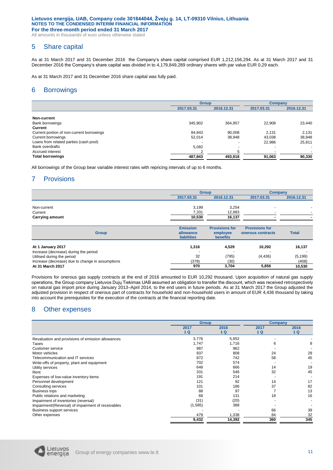All amounts in thousands of euro unless otherwise stated

# 5 Share capital

As at 31 March 2017 and 31 December 2016 the Company's share capital comprised EUR 1,212,156,294. As at 31 March 2017 and 31 December 2016 the Company's share capital was divided in to 4,179,849,289 ordinary shares with par value EUR 0,29 each.

As at 31 March 2017 and 31 December 2016 share capital was fully paid.

# 6 Borrowings

|                                           | <b>Group</b> |                          | <b>Company</b> |            |
|-------------------------------------------|--------------|--------------------------|----------------|------------|
|                                           | 2017.03.31   | 2016.12.31               | 2017.03.31     | 2016.12.31 |
|                                           |              |                          |                |            |
| Non-current                               |              |                          |                |            |
| Bank borrowings                           | 345,902      | 364,957                  | 22,908         | 23,440     |
| Current                                   |              |                          |                |            |
| Current portion of non-current borrowings | 84,843       | 90,008                   | 2.131          | 2,131      |
| Current borrowings                        | 52,014       | 38,948                   | 43,038         | 38,948     |
| Loans from related parties (cash pool)    |              | $\overline{\phantom{0}}$ | 22,986         | 25,811     |
| Bank overdrafts                           | 5.082        | $\overline{\phantom{0}}$ |                | $\sim$     |
| Accrued interest                          |              |                          |                |            |
| <b>Total borrowings</b>                   | 487,843      | 493,918                  | 91,063         | 90,330     |

All borrowings of the Group bear variable interest rates with repricing intervals of up to 6 months.

# 7 Provisions

|                                       |                                 | <b>Group</b>                |                          |                          |  |
|---------------------------------------|---------------------------------|-----------------------------|--------------------------|--------------------------|--|
|                                       | 2017.03.31                      | 2016.12.31                  | 2017.03.31               | 2016.12.31               |  |
| Non-current                           | 3,199                           | 3,254                       | $\overline{\phantom{0}}$ |                          |  |
| Current                               | 7,331                           | 12,883                      | $\overline{\phantom{0}}$ | $\overline{\phantom{a}}$ |  |
| <b>Carrying amount</b>                | 10,530                          | 16,137                      |                          |                          |  |
|                                       | <b>Emission</b>                 | <b>Provisions for</b>       | <b>Provisions for</b>    |                          |  |
| <b>Group</b>                          | allowance<br><b>liabilities</b> | employee<br><b>benefits</b> | onerous contracts        | <b>Total</b>             |  |
| At 1 January 2017                     | 1,316                           | 4,529                       | 10,292                   | 16,137                   |  |
| Increase (decrease) during the period |                                 |                             |                          |                          |  |

| At I vanually Lynn                               |       | <b>T.VLJ</b> |         |          |
|--------------------------------------------------|-------|--------------|---------|----------|
| Increase (decrease) during the period            | -     |              |         |          |
| Utilised during the period                       | 32    | (795)        | (4.436) | (5, 199) |
| Increase (decrease) due to change in assumptions | (378) | (30)         |         | (408)    |
| At 31 March 2017                                 | 970   | 3.704        | 5.856   | 10.530   |
|                                                  |       |              |         |          |

Provisions for onerous gas supply contracts at the end of 2016 amounted to EUR 10,292 thousand. Upon acquisition of natural gas supply operations, the Group company Lietuvos Dujų Tiekimas UAB assumed an obligation to transfer the discount, which was received retrospectively on natural gas import price during January 2013–April 2014, to the end users in future periods. As at 31 March 2017 the Group adjusted the adjusted provision in respect of onerous part of contracts for household and non-household users in amount of EUR 4,436 thousand by taking into account the prerequisites for the execution of the contracts at the financial reporting date.

# 8 Other expenses

|                                                    | <b>Group</b> |            | <b>Company</b> |            |
|----------------------------------------------------|--------------|------------|----------------|------------|
|                                                    | 2017<br>1Q   | 2016<br>1Q | 2017<br>1 Q    | 2016<br>1Q |
| Revaluation and provisions of emission allowances  | 3,776        | 5,952      |                |            |
| Taxes                                              | 1,747        | 1,716      | 6              | 8          |
| Customer service                                   | 987          | 962        |                |            |
| Motor vehicles                                     | 937          | 808        | 24             | 29         |
| Telecommunication and IT services                  | 872          | 742        | 58             | 45         |
| Write-offs of property, plant and equipment        | 702          | 574        |                |            |
| Utility services                                   | 648          | 666        | 14             | 19         |
| Rent                                               | 331          | 546        | 32             | 45         |
| Expenses of low-value inventory items              | 191          | 214        |                |            |
| Personnel development                              | 121          | 92         | 14             | 17         |
| Consulting services                                | 101          | 186        | 37             | 82         |
| <b>Business trips</b>                              | 88           | 97         |                | 13         |
| Public relations and marketing                     | 68           | 131        | 18             | 16         |
| Impairment of inventories (reversal)               | (31)         | (20)       |                |            |
| Impairment/(Reversal) of impairment of receivables | (1,585)      | 388        |                |            |
| <b>Business support services</b>                   |              |            | 66             | 39         |
| Other expenses                                     | 479          | 1,338      | 84             | 32         |
|                                                    | 9,432        | 14,392     | 360            | 345        |

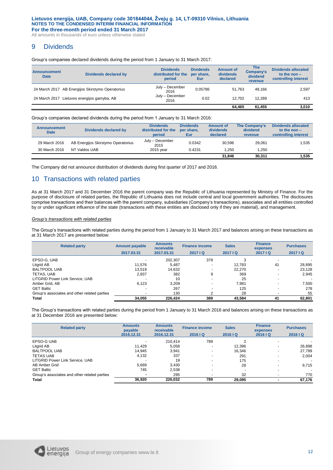All amounts in thousands of euro unless otherwise stated

# 9 Dividends

Group's companies declared dividends during the period from 1 January to 31 March 2017:

| Announcement<br><b>Date</b> | Dividends declared by                            | <b>Dividends</b><br>distributed for the<br>period | <b>Dividends</b><br>per share,<br>Eur | Amount of<br>dividends<br>declared | <b>The</b><br>Company's<br>dividend<br><b>revenue</b> | <b>Dividends allocated</b><br>to the non $-$<br>controlling interest |
|-----------------------------|--------------------------------------------------|---------------------------------------------------|---------------------------------------|------------------------------------|-------------------------------------------------------|----------------------------------------------------------------------|
|                             | 24 March 2017 AB Energijos Skirstymo Operatorius | July - December<br>2016                           | 0.05786                               | 51.763                             | 49.166                                                | 2,597                                                                |
|                             | 24 March 2017 Lietuvos energijos gamyba, AB      | July - December<br>2016                           | 0.02                                  | 12.702                             | 12.289                                                | 413                                                                  |
|                             |                                                  |                                                   |                                       | 64.465                             | 61.455                                                | 3,010                                                                |

Group's companies declared dividends during the period from 1 January to 31 March 2016:

| <b>Announcement</b><br><b>Date</b> | Dividends declared by              | <b>Dividends</b><br>distributed for the<br>period | <b>Dividends</b><br>per share,<br><b>Eur</b> | <b>Amount of</b><br>dividends<br>declared | The Company's<br>dividend<br>revenue | <b>Dividends allocated</b><br>to the non $-$<br>controlling interest |
|------------------------------------|------------------------------------|---------------------------------------------------|----------------------------------------------|-------------------------------------------|--------------------------------------|----------------------------------------------------------------------|
| 29 March 2016                      | AB Energijos Skirstymo Operatorius | July - December<br>2015                           | 0.0342                                       | 30.596                                    | 29.061                               | 1,535                                                                |
| 30 March 2016                      | NT Valdos UAB                      | 2015 vear                                         | 0.4231                                       | 1.250                                     | .250                                 | $\overline{\phantom{a}}$                                             |
|                                    |                                    |                                                   |                                              | 31.846                                    | 30.311                               | 1,535                                                                |

The Company did not announce distribution of dividends during first quarter of 2017 and 2016.

# 10 Transactions with related parties

As at 31 March 2017 and 31 December 2016 the parent company was the Republic of Lithuania represented by Ministry of Finance. For the purpose of disclosure of related parties, the Republic of Lithuania does not include central and local government authorities. The disclosures comprise transactions and their balances with the parent company, subsidiaries (Company's transactions), associates and all entities controlled by or under significant influence of the state (transactions with these entities are disclosed only if they are material), and management.

#### *Group's transactions with related parties*

The Group's transactions with related parties during the period from 1 January to 31 March 2017 and balances arising on these transactions as at 31 March 2017 are presented below:

| <b>Related party</b>                         | <b>Amount payable</b>    | <b>Amounts</b><br>receivable | <b>Finance income</b> | <b>Sales</b> | <b>Finance</b><br>expenses | <b>Purchases</b> |
|----------------------------------------------|--------------------------|------------------------------|-----------------------|--------------|----------------------------|------------------|
|                                              | 2017.03.31               | 2017.03.31                   | 2017   Q              | 2017   Q     | 2017   Q                   | 2017 IQ          |
| EPSO-G, UAB                                  |                          | 202.307                      | 378                   | 3            |                            |                  |
| Litgrid AB                                   | 11,576                   | 5.487                        | -                     | 12.783       | 41                         | 28,895           |
| <b>BALTPOOL UAB</b>                          | 13,519                   | 14,632                       |                       | 22.270       | $\overline{\phantom{0}}$   | 23,128           |
| TETAS, UAB                                   | 2,837                    | 382                          | 9                     | 369          | $\overline{\phantom{0}}$   | 2,945            |
| LITGRID Power Link Service, UAB              |                          | 10                           |                       | 25           |                            |                  |
| Amber Grid, AB                               | 6,123                    | 3.209                        | -                     | 7.981        | $\overline{a}$             | 7,500            |
| <b>GET Baltic</b>                            | $\overline{\phantom{0}}$ | 267                          |                       | 125          | $\overline{\phantom{0}}$   | 278              |
| Group's associates and other related parties | $\blacksquare$           | 130                          |                       | 28           | $\overline{\phantom{a}}$   | 55               |
| <b>Total</b>                                 | 34,055                   | 226.424                      | 389                   | 43.584       | 41                         | 62,801           |

The Group's transactions with related parties during the period from 1 January to 31 March 2016 and balances arising on these transactions as at 31 December 2016 are presented below:

| <b>Related party</b>                         | <b>Amounts</b><br>payable | <b>Amounts</b><br>receivable | <b>Finance income</b> | <b>Sales</b> | <b>Finance</b><br>expenses | <b>Purchases</b>         |
|----------------------------------------------|---------------------------|------------------------------|-----------------------|--------------|----------------------------|--------------------------|
|                                              | 2016.12.31                | 2016.12.31                   | 2016   Q              | 2016   Q     | 2016   Q                   | 2016   Q                 |
| EPSO-G UAB                                   |                           | 210.414                      | 789                   |              |                            |                          |
| Litgrid AB                                   | 11.429                    | 5.058                        |                       | 12,396       |                            | 26,898<br>$\overline{a}$ |
| <b>BALTPOOL UAB</b>                          | 14.945                    | 3.941                        |                       | 16.346       |                            | 27,789<br>$\overline{a}$ |
| <b>TETAS UAB</b>                             | 4,132                     | 337                          |                       | 291          |                            | 2,004                    |
| LITGRID Power Link Service, UAB              |                           | 19                           |                       | 175          |                            | $\sim$                   |
| AB Amber Grid                                | 5.669                     | 3.430                        |                       | 28           |                            | 9,715<br>$\overline{a}$  |
| <b>GET Baltic</b>                            | 745                       | 2.538                        |                       |              |                            | $\overline{a}$           |
| Group's associates and other related parties |                           | 295                          |                       | 32           |                            | 770<br>$\blacksquare$    |
| <b>Total</b>                                 | 36,920                    | 226.032                      | 789                   | 29,095       |                            | 67,176                   |

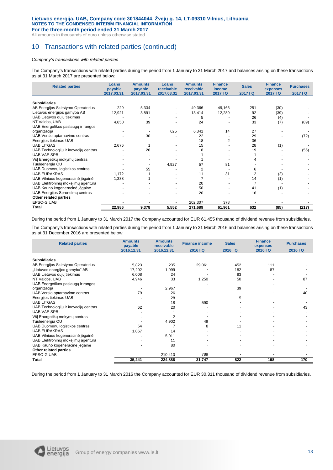All amounts in thousands of euro unless otherwise stated

# 10 Transactions with related parties (continued)

#### *Company's transactions with related parties*

The Company's transactions with related parties during the period from 1 January to 31 March 2017 and balances arising on these transactions as at 31 March 2017 are presented below:

| <b>Related parties</b>                | Loans<br>payable | <b>Amounts</b><br>payable | Loans<br>receivable | <b>Amounts</b><br>receivable | <b>Finance</b><br>income | <b>Sales</b> | <b>Finance</b><br>expenses | <b>Purchases</b> |
|---------------------------------------|------------------|---------------------------|---------------------|------------------------------|--------------------------|--------------|----------------------------|------------------|
|                                       | 2017.03.31       | 2017.03.31                | 2017.03.31          | 2017.03.31                   | 2017 IQ                  | 2017 IQ      | 2017   Q                   | 2017 IQ          |
|                                       |                  |                           |                     |                              |                          |              |                            |                  |
| <b>Subsidiaries</b>                   |                  |                           |                     |                              |                          |              |                            |                  |
| AB Energijos Skirstymo Operatorius    | 229              | 5,334                     |                     | 49,366                       | 49,166                   | 251          | (30)                       |                  |
| Lietuvos energijos gamyba AB          | 12,921           | 3,891                     |                     | 13,414                       | 12,289                   | 92           | (39)                       |                  |
| UAB Lietuvos dujų tiekimas            |                  |                           |                     | 5                            |                          | 26           | (4)                        |                  |
| NT Valdos, UAB                        | 4,650            | 39                        |                     | 24                           |                          | 33           | (7)                        | (89)             |
| UAB Energetikos paslaugų ir rangos    |                  |                           |                     |                              |                          |              |                            |                  |
| organizacija                          |                  |                           | 625                 | 6,341                        | 14                       | 27           |                            |                  |
| UAB Verslo aptarnavimo centras        |                  | 30                        |                     | 22                           |                          | 29           |                            | (72)             |
| Energijos tiekimas UAB                |                  |                           |                     | 18                           | 2                        | 36           |                            |                  |
| <b>UAB LITGAS</b>                     | 2,676            |                           |                     | 15                           |                          | 28           | (1)                        |                  |
| UAB Technologijų ir inovacijų centras |                  | 26                        |                     | 8                            |                          | 19           |                            | (56)             |
| <b>UAB VAE SPB</b>                    |                  |                           |                     |                              |                          |              |                            |                  |
| Všļ Energetikų mokymų centras         |                  |                           |                     |                              |                          |              |                            |                  |
| Tuuleenergia OU                       |                  |                           | 4,927               | 57                           | 81                       |              |                            |                  |
| UAB Duomenų logistikos centras        |                  | 55                        |                     | 2                            |                          | 6            |                            |                  |
| <b>UAB EURAKRAS</b>                   | 1,172            |                           |                     | 11                           | 31                       |              | (2)                        |                  |
| UAB Vilniaus kogeneracinė jėgainė     | 1,338            |                           |                     |                              |                          | 14           | (1)                        |                  |
| UAB Elektroninių mokėjimų agentūra    |                  |                           |                     | 20                           |                          |              |                            |                  |
| UAB Kauno kogeneracinė įėgainė        |                  |                           |                     | 50                           |                          | 41           | (1)                        |                  |
| UAB Energijos Sprendimų centras       |                  |                           |                     | 20                           |                          | 16           |                            |                  |
| Other related parties                 |                  |                           |                     |                              |                          |              |                            |                  |
| EPSO-G UAB                            |                  |                           |                     | 202,307                      | 378                      |              |                            |                  |
| Total                                 | 22,986           | 9,378                     | 5,552               | 271,689                      | 61,961                   | 632          | (85)                       | (217)            |

During the period from 1 January to 31 March 2017 the Company accounted for EUR 61,455 thousand of dividend revenue from subsidiaries.

The Company's transactions with related parties during the period from 1 January to 31 March 2016 and balances arising on these transactions as at 31 December 2016 are presented below:

| <b>Related parties</b>                | <b>Amounts</b><br><b>Amounts</b><br>payable<br>receivable |            | <b>Finance income</b> | <b>Sales</b> | <b>Finance</b><br>expenses | <b>Purchases</b> |
|---------------------------------------|-----------------------------------------------------------|------------|-----------------------|--------------|----------------------------|------------------|
|                                       | 2016.12.31                                                | 2016.12.31 | 2016 IQ               | 2016 IQ      | 2016 IQ                    | 2016 IQ          |
| <b>Subsidiaries</b>                   |                                                           |            |                       |              |                            |                  |
|                                       |                                                           |            |                       |              |                            |                  |
| AB Energijos Skirstymo Operatorius    | 5,823                                                     | 235        | 29,061                | 452          | 111                        |                  |
| "Lietuvos energijos gamyba" AB        | 17,202                                                    | 1,099      |                       | 182          | 87                         |                  |
| UAB Lietuvos dujų tiekimas            | 6,008                                                     | 24         |                       | 83           |                            |                  |
| NT Valdos, UAB                        | 4,946                                                     | 33         | 1,250                 | 50           |                            | 87               |
| UAB Energetikos paslaugų ir rangos    |                                                           |            |                       |              |                            |                  |
| organizacija                          |                                                           | 2,967      |                       | 39           |                            |                  |
| UAB Verslo aptarnavimo centras        | 79                                                        | 26         |                       |              |                            | 40               |
| Energijos tiekimas UAB                |                                                           | 28         |                       | 5            |                            |                  |
| <b>UAB LITGAS</b>                     |                                                           | 18         | 590                   |              |                            |                  |
| UAB Technologijų ir inovacijų centras | 62                                                        | 20         |                       |              |                            | 43               |
| <b>UAB VAE SPB</b>                    |                                                           |            |                       |              |                            |                  |
| Všļ Energetikų mokymų centras         |                                                           |            |                       |              |                            |                  |
| Tuuleenergia OU                       |                                                           | 4,902      | 49                    |              |                            |                  |
| UAB Duomenų logistikos centras        | 54                                                        |            | 8                     | 11           |                            |                  |
| <b>UAB EURAKRAS</b>                   | 1,067                                                     | 14         |                       |              |                            |                  |
| UAB Vilniaus kogeneracinė jėgainė     |                                                           | 5,011      |                       |              |                            |                  |
| UAB Elektroninių mokėjimų agentūra    |                                                           | 11         |                       |              |                            |                  |
| UAB Kauno kogeneracinė jėgainė        |                                                           | 80         |                       |              |                            |                  |
| Other related parties                 |                                                           |            |                       |              |                            |                  |
| <b>EPSO-G UAB</b>                     |                                                           | 210,410    | 789                   |              |                            |                  |
| Total                                 | 35,241                                                    | 224,888    | 31,747                | 822          | 198                        | 170              |

During the period from 1 January to 31 March 2016 the Company accounted for EUR 30,311 thousand of dividend revenue from subsidiaries.

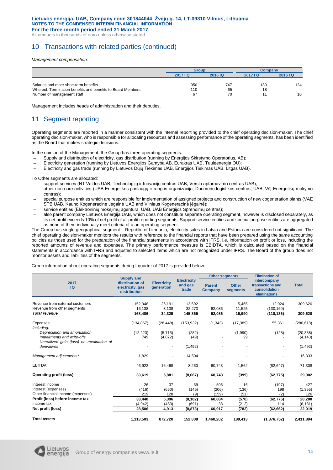All amounts in thousands of euro unless otherwise stated

# 10 Transactions with related parties (continued)

#### *Management compensation:*

|                                                                                           | <b>Group</b>              |          | Company |              |
|-------------------------------------------------------------------------------------------|---------------------------|----------|---------|--------------|
|                                                                                           | <b>2016 IQ</b><br>2017 IQ |          | 2017 IQ | 2016   Q     |
| Salaries and other short-term benefits                                                    | 950                       | 747      | 180     | 124          |
| Whereof: Termination benefits and benefits to Board Members<br>Number of management staff | 110<br>67                 | 65<br>70 | 18      | $\sim$<br>10 |

Management includes heads of administration and their deputies.

# 11 Seament reporting

Operating segments are reported in a manner consistent with the internal reporting provided to the chief operating decision-maker. The chief operating decision-maker, who is responsible for allocating resources and assessing performance of the operating segments, has been identified as the Board that makes strategic decisions.

In the opinion of the Management, the Group has three operating segments:

- Supply and distribution of electricity, gas distribution (running by Energijos Skirstymo Operatorius, AB);
- Electricity generation (running by Lietuvos Energijos Gamyba AB, Eurakras UAB, Tuuleenergia OU);
- Electricity and gas trade (running by Lietuvos Dujų Tiekimas UAB, Energijos Tiekimas UAB, Litgas UAB).

To Other segments are allocated:

- support services (NT Valdos UAB, Technologijų ir Inovacijų centras UAB, Verslo aptarnavimo centras UAB);
- other non-core activities (UAB Energetikos paslaugų ir rangos organizacija, Duomenų logistikos centras, UAB, VšĮ Energetikų mokymo centras);
- special purpose entities which are responsible for implementation of assigned projects and construction of new cogeneration plants (VAE SPB UAB, Kauno Kogeneracinė Jėgainė UAB and Vilniaus Kogeneracinė jėgainė);
- service entities (Elektroninių mokėjimų agentūra, UAB, UAB Energijos Sprendimų centras);
- also parent company Lietuvos Energija UAB, which does not constitute separate operating segment, however is disclosed separately, as its net profit exceeds 10% of net profit of all profit reporting segments. Support service entities and special purpose entities are aggregated as none of them individually meet criteria of a an operating segment.

The Group has single geographical segment – Republic of Lithuania, electricity sales in Latvia and Estonia are considered not significant. The chief operating decision-maker monitors the results with reference to the financial reports that have been prepared using the same accounting policies as those used for the preparation of the financial statements in accordance with IFRS, i.e. information on profit or loss, including the reported amounts of revenue and expenses. The primary performance measure is EBIDTA, which is calculated based on the financial statements in accordance with IFRS and adjusted to selected items which are not recognized under IFRS. The Board of the group does not monitor assets and liabilities of the segments.

Group information about operating segments during I quarter of 2017 is provided below:

|                                                         | <b>Supply and</b>                                   |                                  |                                        | <b>Other segments</b>           |                          | <b>Elimination of</b>                                             |              |
|---------------------------------------------------------|-----------------------------------------------------|----------------------------------|----------------------------------------|---------------------------------|--------------------------|-------------------------------------------------------------------|--------------|
| 2017<br>$\overline{a}$                                  | distribution of<br>electricity, gas<br>distribution | <b>Electricity</b><br>generation | <b>Electricity</b><br>and gas<br>trade | <b>Parent</b><br><b>Company</b> | <b>Other</b><br>segments | intercompany<br>transactions and<br>consolidation<br>eliminations | <b>Total</b> |
| Revenue from external customers                         | 152,348                                             | 26,191                           | 113,592                                |                                 | 5,465                    | 12,024                                                            | 309,620      |
| Revenue from other segments                             | 16,138                                              | 8,138                            | 32,273                                 | 62,086                          | 11,525                   | (130, 160)                                                        |              |
| <b>Total revenue</b>                                    | 168,486                                             | 34,329                           | 145,865                                | 62,086                          | 16,990                   | (118, 136)                                                        | 309,620      |
| Expenses<br>Including:                                  | (134, 867)                                          | (28, 448)                        | (153, 932)                             | (1, 343)                        | (17, 389)                | 55,361                                                            | (280, 618)   |
| Depreciation and amortization                           | (12, 223)                                           | (5,715)                          | (282)                                  | $\overline{\phantom{a}}$        | (1,990)                  | (128)                                                             | (20, 338)    |
| Impairments and write-offs                              | 749                                                 | (4, 872)                         | (49)                                   |                                 | 29                       |                                                                   | (4, 143)     |
| Unrealized gain (loss) on revaluation of<br>derivatives |                                                     | $\overline{\phantom{a}}$         | (1, 492)                               |                                 |                          |                                                                   | (1, 492)     |
| Management adjustments*                                 | 1,829                                               |                                  | 14,504                                 |                                 |                          |                                                                   | 16,333       |
| <b>EBITDA</b>                                           | 46,922                                              | 16,468                           | 8,260                                  | 60,743                          | 1,562                    | (62, 647)                                                         | 71,308       |
| Operating profit (loss)                                 | 33,619                                              | 5,881                            | (8,067)                                | 60,743                          | (399)                    | (62, 775)                                                         | 29,002       |
| Interest income                                         | 26                                                  | 37                               | 39                                     | 506                             | 16                       | (197)                                                             | 427          |
| Interest (expenses)                                     | (416)                                               | (650)                            | (145)                                  | (206)                           | (136)                    | 198                                                               | (1, 355)     |
| Other financial income (expenses)                       | 219                                                 | 128                              | (9)                                    | (159)                           | (51)                     | (2)                                                               | 126          |
| Profit (loss) before income tax                         | 33,448                                              | 5,396                            | (8, 182)                               | 60,884                          | (570)                    | (62, 776)                                                         | 28,200       |
| Income tax                                              | (4,942)                                             | (483)                            | (691)                                  | 33                              | (212)                    | 114                                                               | (6, 181)     |
| Net profit (loss)                                       | 28,506                                              | 4,913                            | (8, 873)                               | 60,917                          | (782)                    | (62, 662)                                                         | 22,019       |
| <b>Total assets</b>                                     | 1,113,503                                           | 872,720                          | 152,808                                | 1,460,202                       | 189,413                  | (1, 376, 752)                                                     | 2,411,894    |